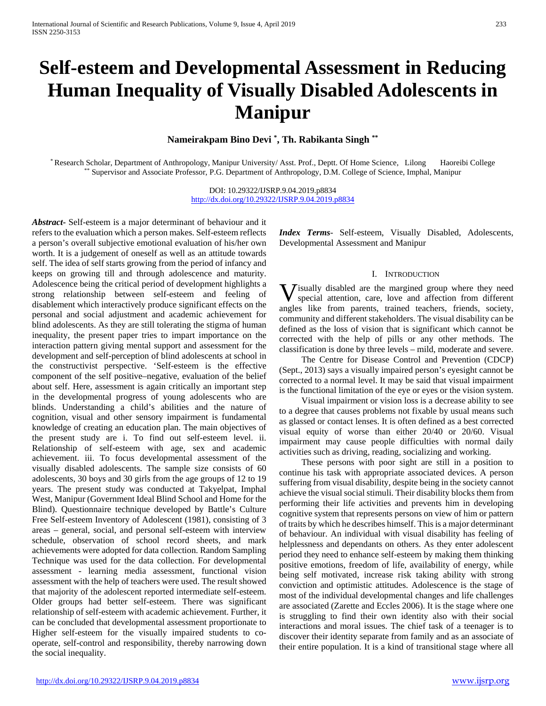# **Self-esteem and Developmental Assessment in Reducing Human Inequality of Visually Disabled Adolescents in Manipur**

**Nameirakpam Bino Devi \* , Th. Rabikanta Singh \*\***

\* Research Scholar, Department of Anthropology, Manipur University/ Asst. Prof., Deptt. Of Home Science, Lilong Haoreibi College \*\* Supervisor and Associate Professor, P.G. Department of Anthropology, D.M. College of Science, Imphal, Manipur

> DOI: 10.29322/IJSRP.9.04.2019.p8834 <http://dx.doi.org/10.29322/IJSRP.9.04.2019.p8834>

*Abstract***-** Self-esteem is a major determinant of behaviour and it refers to the evaluation which a person makes. Self-esteem reflects a person's overall subjective emotional evaluation of his/her own worth. It is a judgement of oneself as well as an attitude towards self. The idea of self starts growing from the period of infancy and keeps on growing till and through adolescence and maturity. Adolescence being the critical period of development highlights a strong relationship between self-esteem and feeling of disablement which interactively produce significant effects on the personal and social adjustment and academic achievement for blind adolescents. As they are still tolerating the stigma of human inequality, the present paper tries to impart importance on the interaction pattern giving mental support and assessment for the development and self-perception of blind adolescents at school in the constructivist perspective. 'Self-esteem is the effective component of the self positive–negative, evaluation of the belief about self. Here, assessment is again critically an important step in the developmental progress of young adolescents who are blinds. Understanding a child's abilities and the nature of cognition, visual and other sensory impairment is fundamental knowledge of creating an education plan. The main objectives of the present study are i. To find out self-esteem level. ii. Relationship of self-esteem with age, sex and academic achievement. iii. To focus developmental assessment of the visually disabled adolescents. The sample size consists of 60 adolescents, 30 boys and 30 girls from the age groups of 12 to 19 years. The present study was conducted at Takyelpat, Imphal West, Manipur (Government Ideal Blind School and Home for the Blind). Questionnaire technique developed by Battle's Culture Free Self-esteem Inventory of Adolescent (1981), consisting of 3 areas – general, social, and personal self-esteem with interview schedule, observation of school record sheets, and mark achievements were adopted for data collection. Random Sampling Technique was used for the data collection. For developmental assessment - learning media assessment, functional vision assessment with the help of teachers were used. The result showed that majority of the adolescent reported intermediate self-esteem. Older groups had better self-esteem. There was significant relationship of self-esteem with academic achievement. Further, it can be concluded that developmental assessment proportionate to Higher self-esteem for the visually impaired students to cooperate, self-control and responsibility, thereby narrowing down the social inequality.

*Index Terms*- Self-esteem, Visually Disabled, Adolescents, Developmental Assessment and Manipur

#### I. INTRODUCTION

**V** isually disabled are the margined group where they need special attention, care, love and affection from different special attention, care, love and affection from different angles like from parents, trained teachers, friends, society, community and different stakeholders. The visual disability can be defined as the loss of vision that is significant which cannot be corrected with the help of pills or any other methods. The classification is done by three levels – mild, moderate and severe.

 The Centre for Disease Control and Prevention (CDCP) (Sept., 2013) says a visually impaired person's eyesight cannot be corrected to a normal level. It may be said that visual impairment is the functional limitation of the eye or eyes or the vision system.

 Visual impairment or vision loss is a decrease ability to see to a degree that causes problems not fixable by usual means such as glassed or contact lenses. It is often defined as a best corrected visual equity of worse than either 20/40 or 20/60. Visual impairment may cause people difficulties with normal daily activities such as driving, reading, socializing and working.

 These persons with poor sight are still in a position to continue his task with appropriate associated devices. A person suffering from visual disability, despite being in the society cannot achieve the visual social stimuli. Their disability blocks them from performing their life activities and prevents him in developing cognitive system that represents persons on view of him or pattern of traits by which he describes himself. This is a major determinant of behaviour. An individual with visual disability has feeling of helplessness and dependants on others. As they enter adolescent period they need to enhance self-esteem by making them thinking positive emotions, freedom of life, availability of energy, while being self motivated, increase risk taking ability with strong conviction and optimistic attitudes. Adolescence is the stage of most of the individual developmental changes and life challenges are associated (Zarette and Eccles 2006). It is the stage where one is struggling to find their own identity also with their social interactions and moral issues. The chief task of a teenager is to discover their identity separate from family and as an associate of their entire population. It is a kind of transitional stage where all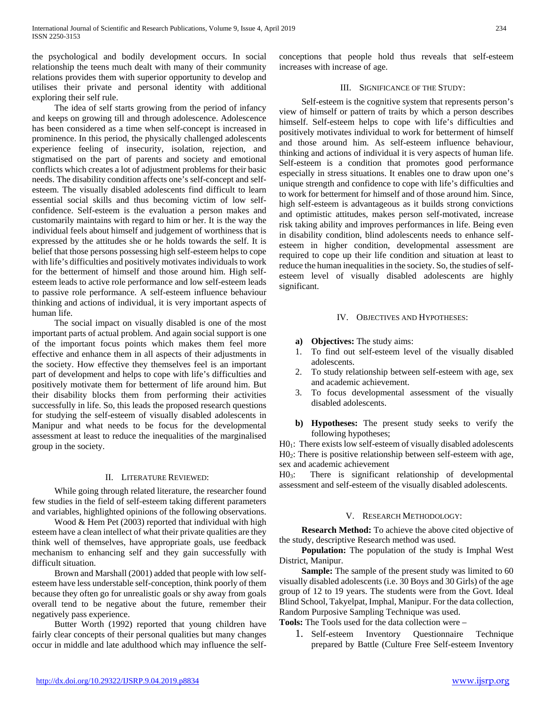the psychological and bodily development occurs. In social relationship the teens much dealt with many of their community relations provides them with superior opportunity to develop and utilises their private and personal identity with additional exploring their self rule.

 The idea of self starts growing from the period of infancy and keeps on growing till and through adolescence. Adolescence has been considered as a time when self-concept is increased in prominence. In this period, the physically challenged adolescents experience feeling of insecurity, isolation, rejection, and stigmatised on the part of parents and society and emotional conflicts which creates a lot of adjustment problems for their basic needs. The disability condition affects one's self-concept and selfesteem. The visually disabled adolescents find difficult to learn essential social skills and thus becoming victim of low selfconfidence. Self-esteem is the evaluation a person makes and customarily maintains with regard to him or her. It is the way the individual feels about himself and judgement of worthiness that is expressed by the attitudes she or he holds towards the self. It is belief that those persons possessing high self-esteem helps to cope with life's difficulties and positively motivates individuals to work for the betterment of himself and those around him. High selfesteem leads to active role performance and low self-esteem leads to passive role performance. A self-esteem influence behaviour thinking and actions of individual, it is very important aspects of human life.

 The social impact on visually disabled is one of the most important parts of actual problem. And again social support is one of the important focus points which makes them feel more effective and enhance them in all aspects of their adjustments in the society. How effective they themselves feel is an important part of development and helps to cope with life's difficulties and positively motivate them for betterment of life around him. But their disability blocks them from performing their activities successfully in life. So, this leads the proposed research questions for studying the self-esteem of visually disabled adolescents in Manipur and what needs to be focus for the developmental assessment at least to reduce the inequalities of the marginalised group in the society.

#### II. LITERATURE REVIEWED:

 While going through related literature, the researcher found few studies in the field of self-esteem taking different parameters and variables, highlighted opinions of the following observations.

Wood & Hem Pet (2003) reported that individual with high esteem have a clean intellect of what their private qualities are they think well of themselves, have appropriate goals, use feedback mechanism to enhancing self and they gain successfully with difficult situation.

 Brown and Marshall (2001) added that people with low selfesteem have less understable self-conception, think poorly of them because they often go for unrealistic goals or shy away from goals overall tend to be negative about the future, remember their negatively pass experience.

 Butter Worth (1992) reported that young children have fairly clear concepts of their personal qualities but many changes occur in middle and late adulthood which may influence the selfconceptions that people hold thus reveals that self-esteem increases with increase of age.

## III. SIGNIFICANCE OF THE STUDY:

 Self-esteem is the cognitive system that represents person's view of himself or pattern of traits by which a person describes himself. Self-esteem helps to cope with life's difficulties and positively motivates individual to work for betterment of himself and those around him. As self-esteem influence behaviour, thinking and actions of individual it is very aspects of human life. Self-esteem is a condition that promotes good performance especially in stress situations. It enables one to draw upon one's unique strength and confidence to cope with life's difficulties and to work for betterment for himself and of those around him. Since, high self-esteem is advantageous as it builds strong convictions and optimistic attitudes, makes person self-motivated, increase risk taking ability and improves performances in life. Being even in disability condition, blind adolescents needs to enhance selfesteem in higher condition, developmental assessment are required to cope up their life condition and situation at least to reduce the human inequalities in the society. So, the studies of selfesteem level of visually disabled adolescents are highly significant.

## IV. OBJECTIVES AND HYPOTHESES:

- **a) Objectives:** The study aims:
- 1. To find out self-esteem level of the visually disabled adolescents.
- 2. To study relationship between self-esteem with age, sex and academic achievement.
- 3. To focus developmental assessment of the visually disabled adolescents.
- **b) Hypotheses:** The present study seeks to verify the following hypotheses;

H01: There exists low self-esteem of visually disabled adolescents H02: There is positive relationship between self-esteem with age, sex and academic achievement

H03: There is significant relationship of developmental assessment and self-esteem of the visually disabled adolescents.

## V. RESEARCH METHODOLOGY:

 **Research Method:** To achieve the above cited objective of the study, descriptive Research method was used.

 **Population:** The population of the study is Imphal West District, Manipur.

**Sample:** The sample of the present study was limited to 60 visually disabled adolescents (i.e. 30 Boys and 30 Girls) of the age group of 12 to 19 years. The students were from the Govt. Ideal Blind School, Takyelpat, Imphal, Manipur. For the data collection, Random Purposive Sampling Technique was used.

**Tools:** The Tools used for the data collection were –

1. Self-esteem Inventory Questionnaire Technique prepared by Battle (Culture Free Self-esteem Inventory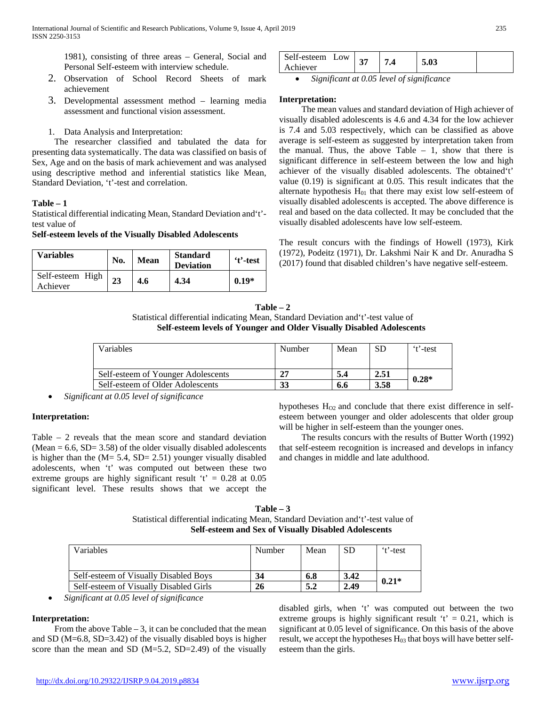1981), consisting of three areas – General, Social and Personal Self-esteem with interview schedule.

- 2. Observation of School Record Sheets of mark achievement
- 3. Developmental assessment method learning media assessment and functional vision assessment.
- 1. Data Analysis and Interpretation:

 The researcher classified and tabulated the data for presenting data systematically. The data was classified on basis of Sex, Age and on the basis of mark achievement and was analysed using descriptive method and inferential statistics like Mean, Standard Deviation, 't'-test and correlation.

## **Table – 1**

Statistical differential indicating Mean, Standard Deviation and't' test value of

## **Self-esteem levels of the Visually Disabled Adolescents**

| Variables                    | No. | <b>Mean</b> | <b>Standard</b><br><b>Deviation</b> | 't'-test |  |
|------------------------------|-----|-------------|-------------------------------------|----------|--|
| Self-esteem High<br>Achiever | 23  | 4.6         | 4.34                                | $0.19*$  |  |

| Self-esteem<br>Low |  | 5.03 |  |
|--------------------|--|------|--|
| Achiever           |  |      |  |

• *Significant at 0.05 level of significance*

### **Interpretation:**

 The mean values and standard deviation of High achiever of visually disabled adolescents is 4.6 and 4.34 for the low achiever is 7.4 and 5.03 respectively, which can be classified as above average is self-esteem as suggested by interpretation taken from the manual. Thus, the above Table  $-1$ , show that there is significant difference in self-esteem between the low and high achiever of the visually disabled adolescents. The obtained't' value (0.19) is significant at 0.05. This result indicates that the alternate hypothesis  $H<sub>01</sub>$  that there may exist low self-esteem of visually disabled adolescents is accepted. The above difference is real and based on the data collected. It may be concluded that the visually disabled adolescents have low self-esteem.

The result concurs with the findings of Howell (1973), Kirk (1972), Podeitz (1971), Dr. Lakshmi Nair K and Dr. Anuradha S (2017) found that disabled children's have negative self-esteem.

| $Table - 2$                                                                        |
|------------------------------------------------------------------------------------|
| Statistical differential indicating Mean, Standard Deviation and 't'-test value of |
| Self-esteem levels of Younger and Older Visually Disabled Adolescents              |

| Variables                          | Number | Mean | SD   | 't'-test |  |
|------------------------------------|--------|------|------|----------|--|
| Self-esteem of Younger Adolescents |        | 5.4  | 2.51 | $0.28*$  |  |
| Self-esteem of Older Adolescents   | 33     | 6.6  | 3.58 |          |  |

• *Significant at 0.05 level of significance*

## **Interpretation:**

Table – 2 reveals that the mean score and standard deviation  $(Mean = 6.6, SD = 3.58)$  of the older visually disabled adolescents is higher than the  $(M = 5.4, SD = 2.51)$  younger visually disabled adolescents, when 't' was computed out between these two extreme groups are highly significant result  $t' = 0.28$  at 0.05 significant level. These results shows that we accept the hypotheses  $H<sub>O2</sub>$  and conclude that there exist difference in selfesteem between younger and older adolescents that older group will be higher in self-esteem than the younger ones.

 The results concurs with the results of Butter Worth (1992) that self-esteem recognition is increased and develops in infancy and changes in middle and late adulthood.

| Table $-3$                                                                         |  |  |  |  |
|------------------------------------------------------------------------------------|--|--|--|--|
| Statistical differential indicating Mean, Standard Deviation and 't'-test value of |  |  |  |  |
| <b>Self-esteem and Sex of Visually Disabled Adolescents</b>                        |  |  |  |  |

| Variables                              | Number    | Mean | SD   | 't'-test |  |
|----------------------------------------|-----------|------|------|----------|--|
|                                        |           |      |      |          |  |
| Self-esteem of Visually Disabled Boys  | 34        | 6.8  | 3.42 | $0.21*$  |  |
| Self-esteem of Visually Disabled Girls | <b>26</b> | 5.2  | 2.49 |          |  |

• *Significant at 0.05 level of significance*

## **Interpretation:**

From the above Table  $-3$ , it can be concluded that the mean and SD (M=6.8, SD=3.42) of the visually disabled boys is higher score than the mean and SD  $(M=5.2, SD=2.49)$  of the visually

disabled girls, when 't' was computed out between the two extreme groups is highly significant result  $t' = 0.21$ , which is significant at 0.05 level of significance. On this basis of the above result, we accept the hypotheses  $H<sub>03</sub>$  that boys will have better selfesteem than the girls.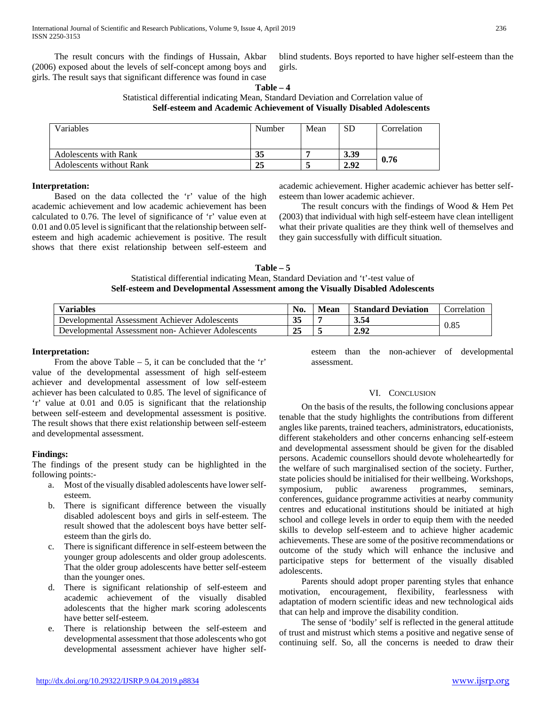The result concurs with the findings of Hussain, Akbar (2006) exposed about the levels of self-concept among boys and girls. The result says that significant difference was found in case

blind students. Boys reported to have higher self-esteem than the girls.

**Table – 4** Statistical differential indicating Mean, Standard Deviation and Correlation value of **Self-esteem and Academic Achievement of Visually Disabled Adolescents**

| Variables                       | Number | Mean | SD   | Correlation |  |
|---------------------------------|--------|------|------|-------------|--|
| <b>Adolescents with Rank</b>    | 35     |      | 3.39 |             |  |
| <b>Adolescents without Rank</b> | 25     |      | 2.92 | 0.76        |  |

## **Interpretation:**

 Based on the data collected the 'r' value of the high academic achievement and low academic achievement has been calculated to 0.76. The level of significance of 'r' value even at 0.01 and 0.05 level is significant that the relationship between selfesteem and high academic achievement is positive. The result shows that there exist relationship between self-esteem and academic achievement. Higher academic achiever has better selfesteem than lower academic achiever.

 The result concurs with the findings of Wood & Hem Pet (2003) that individual with high self-esteem have clean intelligent what their private qualities are they think well of themselves and they gain successfully with difficult situation.

**Table – 5** Statistical differential indicating Mean, Standard Deviation and 't'-test value of **Self-esteem and Developmental Assessment among the Visually Disabled Adolescents**

| <b>Variables</b>                                  | No.      | Mean | <b>Standard Deviation</b> | <b>Correlation</b> |
|---------------------------------------------------|----------|------|---------------------------|--------------------|
| Developmental Assessment Achiever Adolescents     | 35       |      | 3.54                      |                    |
| Developmental Assessment non-Achiever Adolescents | つこ<br>42 |      | 2.92                      | 0.85               |

### **Interpretation:**

From the above Table  $-5$ , it can be concluded that the 'r' value of the developmental assessment of high self-esteem achiever and developmental assessment of low self-esteem achiever has been calculated to 0.85. The level of significance of 'r' value at 0.01 and 0.05 is significant that the relationship between self-esteem and developmental assessment is positive. The result shows that there exist relationship between self-esteem and developmental assessment.

#### **Findings:**

The findings of the present study can be highlighted in the following points:-

- a. Most of the visually disabled adolescents have lower selfesteem.
- b. There is significant difference between the visually disabled adolescent boys and girls in self-esteem. The result showed that the adolescent boys have better selfesteem than the girls do.
- c. There is significant difference in self-esteem between the younger group adolescents and older group adolescents. That the older group adolescents have better self-esteem than the younger ones.
- d. There is significant relationship of self-esteem and academic achievement of the visually disabled adolescents that the higher mark scoring adolescents have better self-esteem.
- e. There is relationship between the self-esteem and developmental assessment that those adolescents who got developmental assessment achiever have higher self-

esteem than the non-achiever of developmental assessment.

#### VI. CONCLUSION

 On the basis of the results, the following conclusions appear tenable that the study highlights the contributions from different angles like parents, trained teachers, administrators, educationists, different stakeholders and other concerns enhancing self-esteem and developmental assessment should be given for the disabled persons. Academic counsellors should devote wholeheartedly for the welfare of such marginalised section of the society. Further, state policies should be initialised for their wellbeing. Workshops, symposium, public awareness programmes, seminars, conferences, guidance programme activities at nearby community centres and educational institutions should be initiated at high school and college levels in order to equip them with the needed skills to develop self-esteem and to achieve higher academic achievements. These are some of the positive recommendations or outcome of the study which will enhance the inclusive and participative steps for betterment of the visually disabled adolescents.

 Parents should adopt proper parenting styles that enhance motivation, encouragement, flexibility, fearlessness with adaptation of modern scientific ideas and new technological aids that can help and improve the disability condition.

 The sense of 'bodily' self is reflected in the general attitude of trust and mistrust which stems a positive and negative sense of continuing self. So, all the concerns is needed to draw their